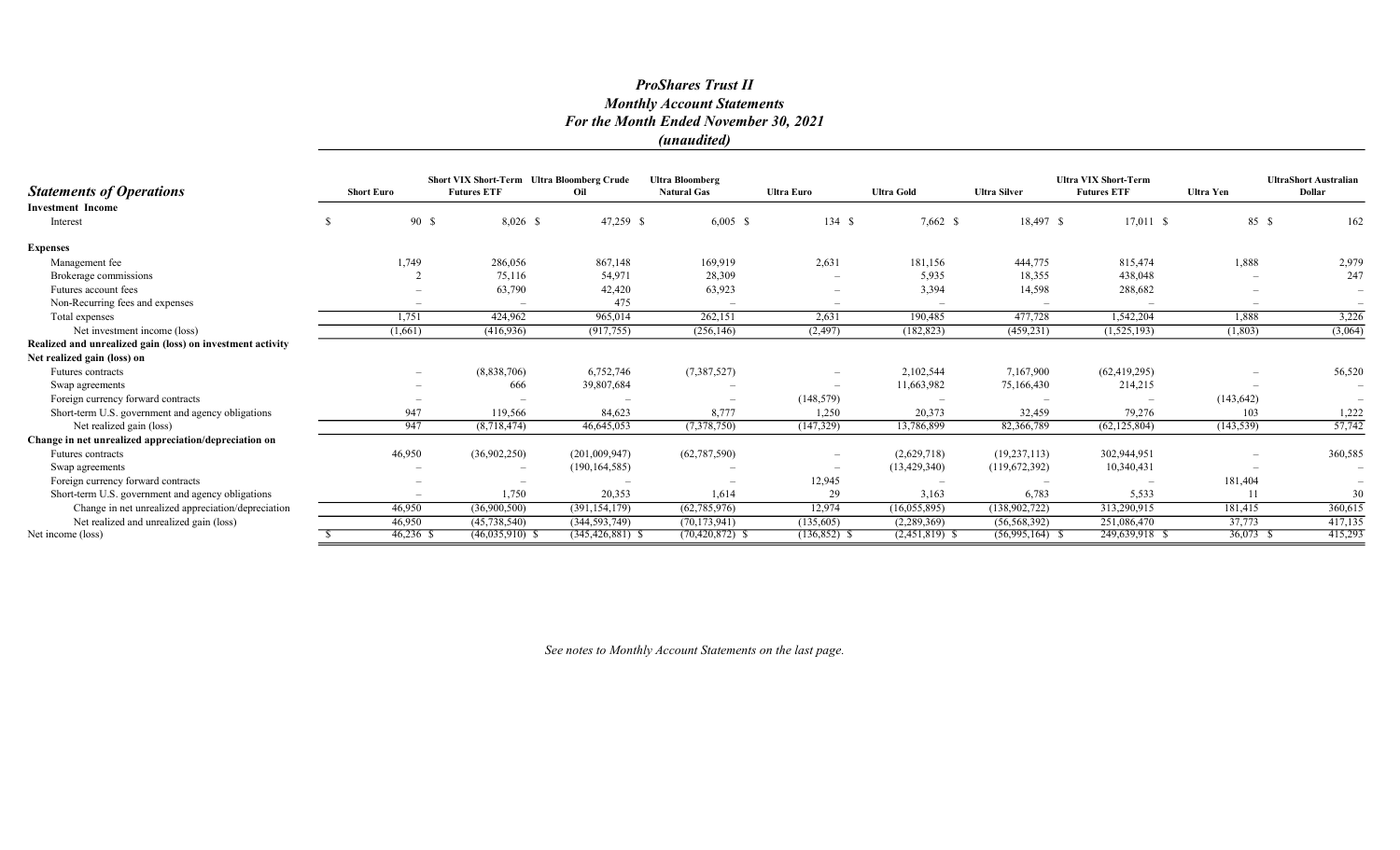#### ProShares Trust II Monthly Account Statements For the Month Ended November 30, 2021 (unaudited)

**Statements of Operations** Short Euro Short VIX Short-Term Ultra Bloomberg Crude Futures ETF Oil Ultra Bloomberg Natural Gas Ultra Euro Ultra Gold Ultra Silver Ultra VIX Short-Term Futures ETF Ultra Yen UltraShort Australian Dollar Investment Income Interest 5 5 5 90 \$ 8,026 \$ 47,259 \$ 6,005 \$ 134 \$ 7,662 \$ 18,497 \$ 17,011 \$ 85 \$ 162 Expenses Management fee 10 1,749 1,749 286,056 867,148 169,919 2,631 181,156 444,775 815,474 1,888 2,979 Brokerage commissions 2 75,116 54,971 28,309 - 5,935 18,355 438,048 - 247 Futures account fees – 63,790 42,420 63,923 – 3,394 14,598 288,682 – – Non-Recurring fees and expenses  $-$  475 Total expenses 1,751 424,962 965,014 262,151 2,631 190,485 477,728 1,542,204 1,888 3,226 Net investment income (loss) (1,803) (1,803) (1,804) (1,805) (416,936) (917,755) (256,146) (2,497) (182,823) (459,231) (1,525,193) (1,803) (3,064) Realized and unrealized gain (loss) on investment activity Net realized gain (loss) on Futures contracts – (8,838,706) 6,752,746 (7,387,527) – 2,102,544 7,167,900 (62,419,295) – 56,520 Swap agreements – 666 39,807,684 – – 11,663,982 75,166,430 214,215 – – Foreign currency forward contracts – – – – – – – (148,579) – – – (148,579) – – (143,642) Short-term U.S. government and agency obligations 6 1,222 119,566 84,623 8,777 1,250 20,373 32,459 79,276 103 1,222 Net realized gain (loss) 947 (8,718,474) 46,645,053 (7,378,750) (147,329) 13,786,899 82,366,789 (62,125,804) (143,539) 57,742 Change in net unrealized appreciation/depreciation on Futures contracts 46,950 (36,902,250) (201,009,947) (62,787,590) – (2,629,718) (19,237,113) 302,944,951 – 360,585 Swap agreements – – (190,164,585) – (190,164,585) – – (13,429,340) (119,672,392) 10,340,431 – – – – – – (13,429,340) – – – (13,429,340) – – – – (13,429,340) – – – – (13,429,340) – – – – (13,429,340) – – – – (13,429,340) – Foreign currency forward contracts – – – – – – – – – – 12,945 – – – – 181,404 – 181,404 – Short-term U.S. government and agency obligations – 1,750 20,353 1,614 29 3,163 6,783 5,533 11 30 Change in net unrealized appreciation/depreciation 46,950 (36,900,500) (391,154,179) (62,785,976) 12,974 (16,055,895) (138,902,722) 313,290,915 181,415 360,615 Net realized and unrealized gain (loss) <br>Net income (loss) <br>Net income (loss) <br> $\frac{37,773}{5}$   $\frac{46,950}{46,236}$   $\frac{46,035,910}{6,035,910}$   $\frac{5}{5}$   $\frac{46,035,910}{46,035,910}$   $\frac{46,035,910}{36,037}$   $\frac{5}{5}$   $\frac{46,03$ Net income (loss) \$ 46,236 \$ (46,035,910) \$ (345,426,881) \$ (70,420,872) \$ (136,852) \$ (2,451,819) \$ (56,995,164) \$ 249,639,918 \$ 36,073 \$ 415,293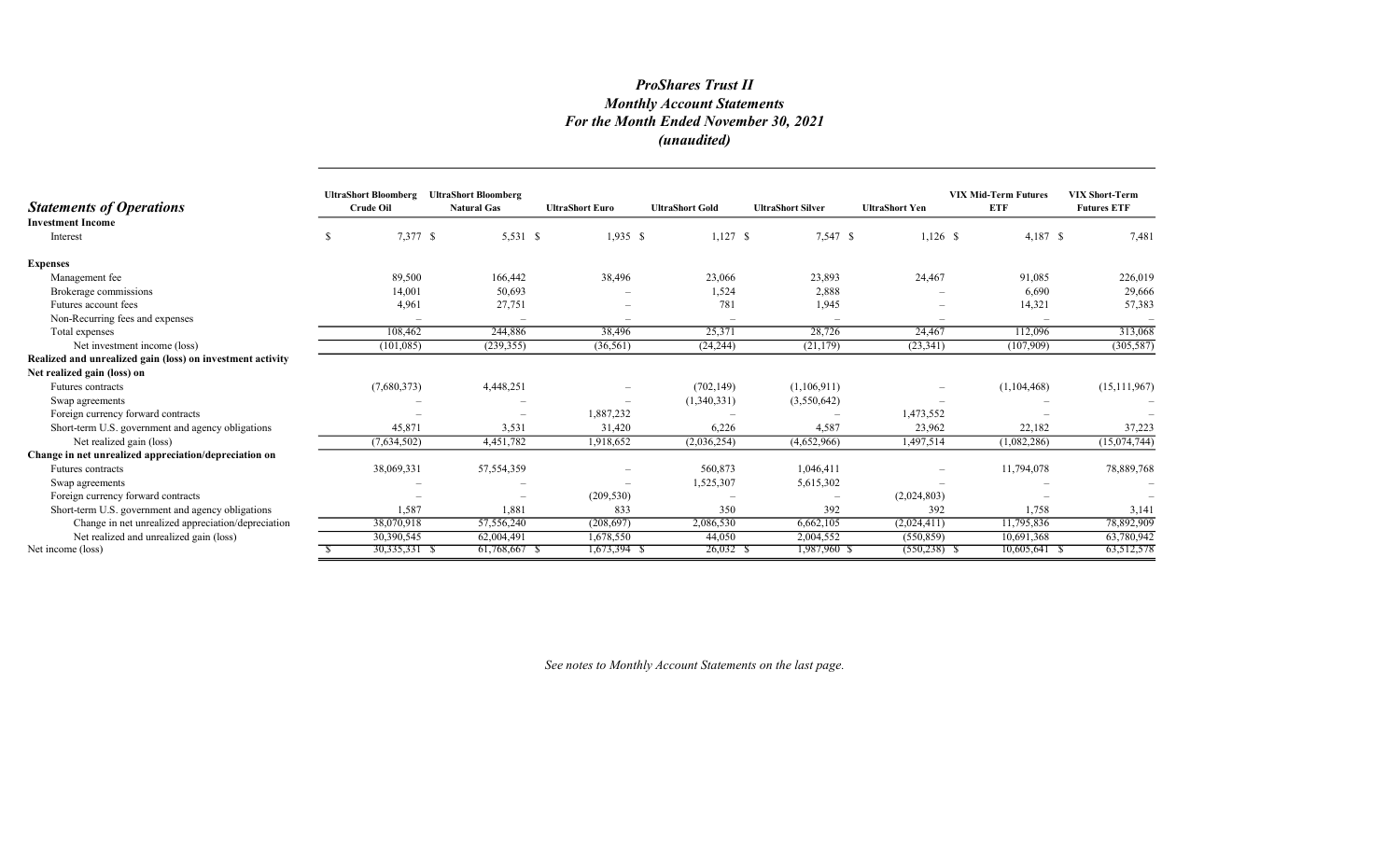## ProShares Trust II Monthly Account Statements For the Month Ended November 30, 2021 (unaudited)

| <b>Statements of Operations</b>                            | <b>UltraShort Bloomberg</b><br><b>Crude Oil</b> | <b>UltraShort Bloomberg</b><br><b>Natural Gas</b> | <b>UltraShort Euro</b> | <b>UltraShort Gold</b> | <b>UltraShort Silver</b> | <b>UltraShort Yen</b> | <b>VIX Mid-Term Futures</b><br><b>ETF</b> | <b>VIX Short-Term</b><br><b>Futures ETF</b> |
|------------------------------------------------------------|-------------------------------------------------|---------------------------------------------------|------------------------|------------------------|--------------------------|-----------------------|-------------------------------------------|---------------------------------------------|
| <b>Investment Income</b><br>Interest                       |                                                 | 7,377 \$<br>5,531 \$                              | $1,935$ \$             | $1,127$ \$             | 7,547 \$                 | $1,126$ \$            | $4,187$ \$                                | 7,481                                       |
| <b>Expenses</b>                                            |                                                 |                                                   |                        |                        |                          |                       |                                           |                                             |
| Management fee                                             |                                                 | 89,500<br>166,442                                 | 38,496                 | 23,066                 | 23,893                   | 24,467                | 91,085                                    | 226,019                                     |
| Brokerage commissions                                      |                                                 | 50,693<br>14,001                                  |                        | 1,524                  | 2,888                    |                       | 6,690                                     | 29,666                                      |
| Futures account fees                                       |                                                 | 4,961<br>27,751                                   |                        | 781                    | 1,945                    |                       | 14,321                                    | 57,383                                      |
| Non-Recurring fees and expenses                            |                                                 |                                                   |                        |                        |                          |                       |                                           |                                             |
| Total expenses                                             | 108,462                                         | 244,886                                           | 38,496                 | 25,371                 | 28,726                   | 24,467                | 112,096                                   | 313,068                                     |
| Net investment income (loss)                               | (101, 085)                                      | (239, 355)                                        | (36, 561)              | (24, 244)              | (21, 179)                | (23, 341)             | (107,909)                                 | (305, 587)                                  |
| Realized and unrealized gain (loss) on investment activity |                                                 |                                                   |                        |                        |                          |                       |                                           |                                             |
| Net realized gain (loss) on                                |                                                 |                                                   |                        |                        |                          |                       |                                           |                                             |
| Futures contracts                                          | (7,680,373)                                     | 4,448,251                                         |                        | (702, 149)             | (1,106,911)              |                       | (1,104,468)                               | (15, 111, 967)                              |
| Swap agreements                                            |                                                 |                                                   |                        | (1,340,331)            | (3,550,642)              |                       |                                           |                                             |
| Foreign currency forward contracts                         |                                                 |                                                   | 1,887,232              |                        |                          | 1,473,552             |                                           |                                             |
| Short-term U.S. government and agency obligations          |                                                 | 45,871<br>3,531                                   | 31,420                 | 6,226                  | 4,587                    | 23,962                | 22,182                                    | 37,223                                      |
| Net realized gain (loss)                                   | (7,634,502)                                     | 4,451,782                                         | 1,918,652              | (2,036,254)            | (4,652,966)              | 1,497,514             | (1,082,286)                               | (15,074,744)                                |
| Change in net unrealized appreciation/depreciation on      |                                                 |                                                   |                        |                        |                          |                       |                                           |                                             |
| Futures contracts                                          | 38,069,331                                      | 57, 554, 359                                      |                        | 560,873                | 1,046,411                |                       | 11,794,078                                | 78,889,768                                  |
| Swap agreements                                            |                                                 |                                                   |                        | 1,525,307              | 5,615,302                |                       |                                           |                                             |
| Foreign currency forward contracts                         |                                                 |                                                   | (209, 530)             |                        |                          | (2,024,803)           |                                           |                                             |
| Short-term U.S. government and agency obligations          |                                                 | 1,587<br>1,881                                    | 833                    | 350                    | 392                      | 392                   | 1,758                                     | 3,141                                       |
| Change in net unrealized appreciation/depreciation         | 38,070,918                                      | 57,556,240                                        | (208, 697)             | 2,086,530              | 6,662,105                | (2,024,411)           | 11,795,836                                | 78,892,909                                  |
| Net realized and unrealized gain (loss)                    | 30,390,545                                      | 62,004,491                                        | 1,678,550              | 44,050                 | 2,004,552                | (550, 859)            | 10,691,368                                | 63,780,942                                  |
| Net income (loss)                                          | $30,335,331$ \$                                 | 61,768,667 \$                                     | 1,673,394 \$           | $26,032$ \$            | 1,987,960 \$             | $(550, 238)$ \$       | 10,605,641 \$                             | 63,512,578                                  |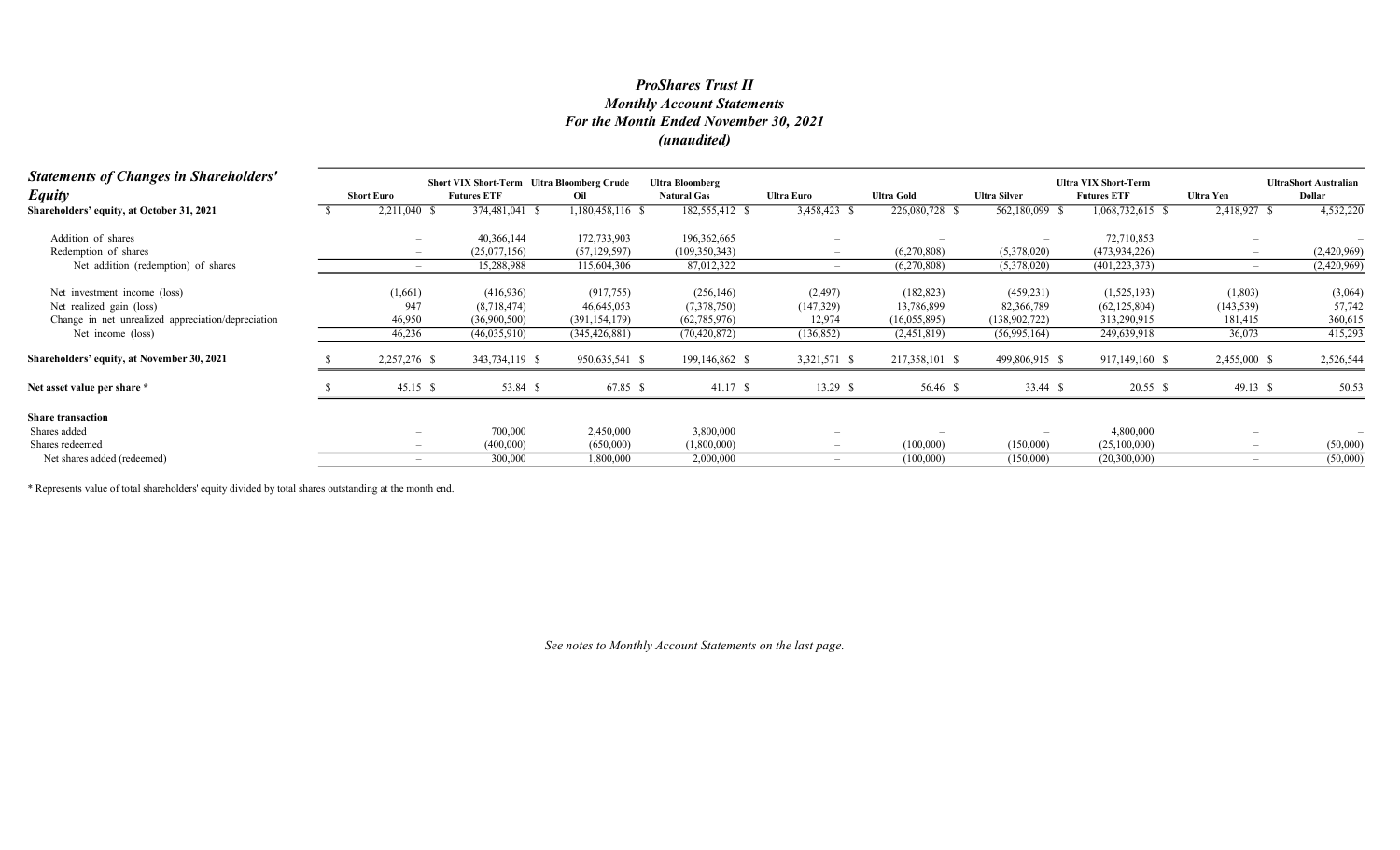## Monthly Account Statements For the Month Ended November 30, 2021 (unaudited) ProShares Trust II

| <b>Statements of Changes in Shareholders'</b>      | <b>Short VIX Short-Term</b> Ultra Bloomberg Crude<br><b>Ultra Bloomberg</b> |                    |                  |                    |                          |                   |                     | <b>Ultra VIX Short-Term</b> | <b>UltraShort Australian</b> |             |
|----------------------------------------------------|-----------------------------------------------------------------------------|--------------------|------------------|--------------------|--------------------------|-------------------|---------------------|-----------------------------|------------------------------|-------------|
| <b>Equity</b>                                      | <b>Short Euro</b>                                                           | <b>Futures ETF</b> | Oil              | <b>Natural Gas</b> | <b>Ultra Euro</b>        | <b>Ultra Gold</b> | <b>Ultra Silver</b> | <b>Futures ETF</b>          | <b>Ultra Yen</b>             | Dollar      |
| Shareholders' equity, at October 31, 2021          | 2,211,040 \$                                                                | 374,481,041 \$     | 1,180,458,116 \$ | 182,555,412        | 3,458,423                | $226,080,728$ \$  | 562,180,099 \$      | 1,068,732,615 \$            | 2,418,927                    | 4,532,220   |
| Addition of shares                                 |                                                                             | 40,366,144         | 172,733,903      | 196,362,665        |                          |                   |                     | 72,710,853                  |                              |             |
| Redemption of shares                               |                                                                             | (25,077,156)       | (57, 129, 597)   | (109, 350, 343)    |                          | (6,270,808)       | (5,378,020)         | (473, 934, 226)             |                              | (2,420,969) |
| Net addition (redemption) of shares                |                                                                             | 15,288,988         | 115,604,306      | 87,012,322         |                          | (6,270,808)       | (5,378,020)         | (401, 223, 373)             | $\overline{\phantom{a}}$     | (2,420,969) |
| Net investment income (loss)                       | (1,661)                                                                     | (416, 936)         | (917, 755)       | (256, 146)         | (2, 497)                 | (182, 823)        | (459, 231)          | (1,525,193)                 | (1,803)                      | (3,064)     |
| Net realized gain (loss)                           | 947                                                                         | (8,718,474)        | 46,645,053       | (7,378,750)        | (147,329)                | 13,786,899        | 82,366,789          | (62, 125, 804)              | (143, 539)                   | 57,742      |
| Change in net unrealized appreciation/depreciation | 46,950                                                                      | (36,900,500)       | (391, 154, 179)  | (62, 785, 976)     | 12,974                   | (16,055,895)      | (138,902,722)       | 313,290,915                 | 181,415                      | 360,615     |
| Net income (loss)                                  | 46,236                                                                      | (46,035,910)       | (345, 426, 881)  | (70, 420, 872)     | (136, 852)               | (2,451,819)       | (56,995,164)        | 249,639,918                 | 36,073                       | 415,293     |
| Shareholders' equity, at November 30, 2021         | 2,257,276 \$                                                                | 343,734,119 \$     | 950,635,541 \$   | 199,146,862 \$     | 3,321,571 \$             | 217,358,101 \$    | 499,806,915 \$      | 917,149,160 \$              | 2,455,000 \$                 | 2,526,544   |
| Net asset value per share *                        | $45.15$ \$                                                                  | 53.84 \$           | 67.85 \$         | 41.17S             | $13.29$ \$               | 56.46 \$          | 33.44 \$            | $20.55$ \$                  | 49.13 \$                     | 50.53       |
| <b>Share transaction</b>                           |                                                                             |                    |                  |                    |                          |                   |                     |                             |                              |             |
| Shares added                                       |                                                                             | 700,000            | 2,450,000        | 3,800,000          |                          |                   |                     | 4,800,000                   |                              |             |
| Shares redeemed                                    |                                                                             | (400,000)          | (650,000)        | (1,800,000)        | $\overline{\phantom{0}}$ | (100,000)         | (150,000)           | (25,100,000)                |                              | (50,000)    |
| Net shares added (redeemed)                        |                                                                             | 300,000            | 1,800,000        | 2,000,000          |                          | (100,000)         | (150,000)           | (20,300,000)                |                              | (50,000)    |

\* Represents value of total shareholders' equity divided by total shares outstanding at the month end.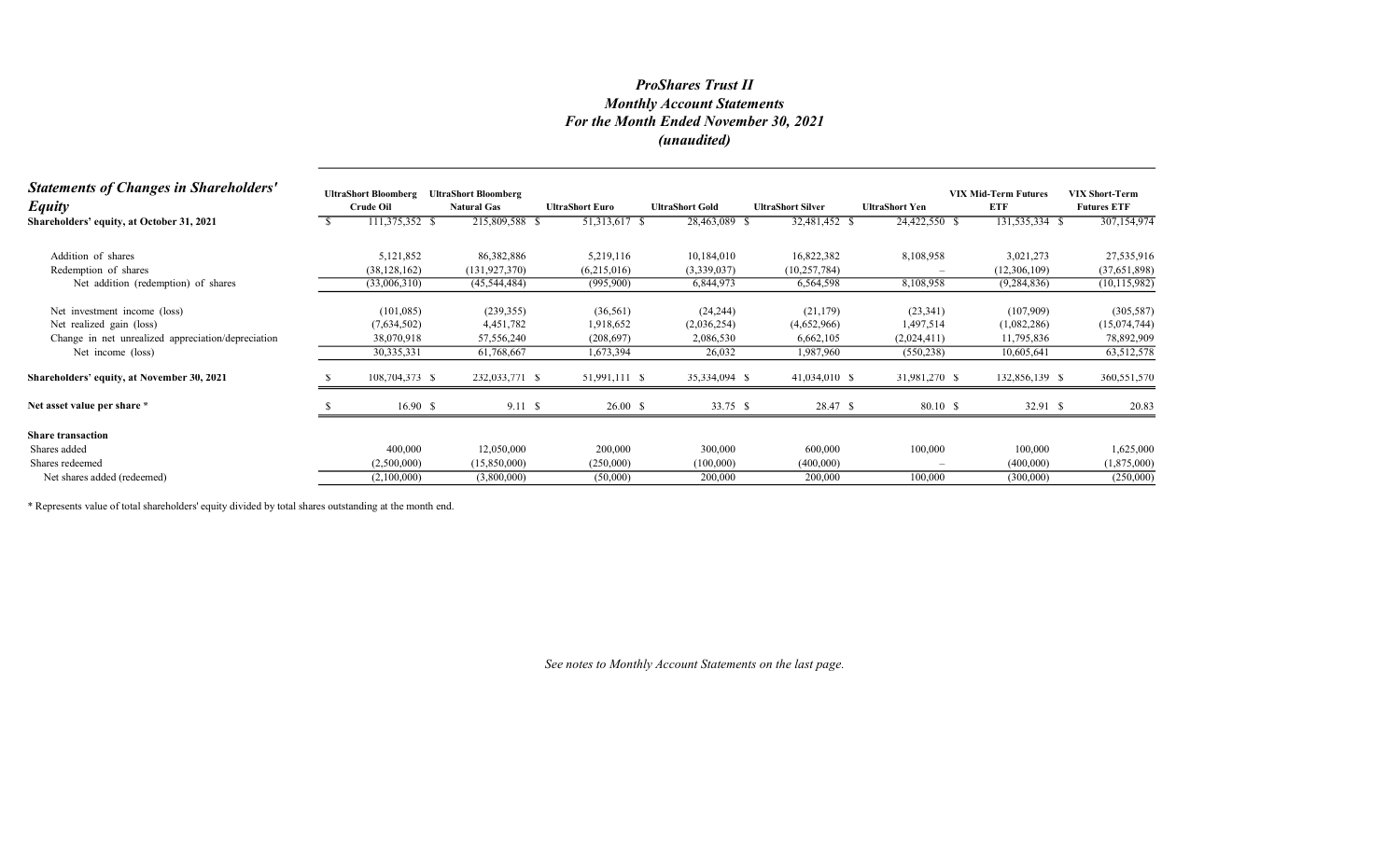# Monthly Account Statements For the Month Ended November 30, 2021 (unaudited) ProShares Trust II

| <b>Statements of Changes in Shareholders'</b><br><b>Equity</b> | <b>UltraShort Bloomberg</b><br><b>Crude Oil</b> | <b>UltraShort Bloomberg</b><br><b>Natural Gas</b> | <b>UltraShort Euro</b> | <b>UltraShort Gold</b> | <b>UltraShort Silver</b> | <b>UltraShort Yen</b> | <b>VIX Mid-Term Futures</b><br>ETF | <b>VIX Short-Term</b><br><b>Futures ETF</b> |
|----------------------------------------------------------------|-------------------------------------------------|---------------------------------------------------|------------------------|------------------------|--------------------------|-----------------------|------------------------------------|---------------------------------------------|
| Shareholders' equity, at October 31, 2021                      | 111,375,352 \$                                  | 215,809,588 \$                                    | 51,313,617 \$          | 28,463,089 \$          | 32,481,452 \$            | 24,422,550 \$         | 131,535,334 \$                     | 307,154,974                                 |
| Addition of shares                                             | 5,121,852                                       | 86,382,886                                        | 5,219,116              | 10,184,010             | 16,822,382               | 8,108,958             | 3,021,273                          | 27,535,916                                  |
| Redemption of shares                                           | (38, 128, 162)                                  | (131, 927, 370)                                   | (6,215,016)            | (3,339,037)            | (10, 257, 784)           |                       | (12,306,109)                       | (37,651,898)                                |
| Net addition (redemption) of shares                            | (33,006,310)                                    | (45, 544, 484)                                    | (995,900)              | 6,844,973              | 6,564,598                | 8,108,958             | (9, 284, 836)                      | (10, 115, 982)                              |
| Net investment income (loss)                                   | (101,085)                                       | (239, 355)                                        | (36, 561)              | (24, 244)              | (21, 179)                | (23,341)              | (107,909)                          | (305, 587)                                  |
| Net realized gain (loss)                                       | (7,634,502)                                     | 4,451,782                                         | 1,918,652              | (2,036,254)            | (4,652,966)              | 1,497,514             | (1,082,286)                        | (15,074,744)                                |
| Change in net unrealized appreciation/depreciation             | 38,070,918                                      | 57,556,240                                        | (208, 697)             | 2,086,530              | 6,662,105                | (2,024,411)           | 11,795,836                         | 78,892,909                                  |
| Net income (loss)                                              | 30,335,331                                      | 61,768,667                                        | 1,673,394              | 26,032                 | 1,987,960                | (550, 238)            | 10,605,641                         | 63,512,578                                  |
| Shareholders' equity, at November 30, 2021                     | 108,704,373 \$                                  | 232,033,771 \$                                    | 51,991,111 \$          | 35,334,094 \$          | 41,034,010 \$            | 31,981,270 \$         | 132,856,139 \$                     | 360,551,570                                 |
| Net asset value per share *                                    | 16.90 S                                         | 9.11S                                             | 26.00 S                | 33.75 \$               | 28.47 \$                 | 80.10 \$              | 32.91 \$                           | 20.83                                       |
| <b>Share transaction</b>                                       |                                                 |                                                   |                        |                        |                          |                       |                                    |                                             |
| Shares added                                                   | 400,000                                         | 12,050,000                                        | 200,000                | 300,000                | 600,000                  | 100,000               | 100,000                            | 1,625,000                                   |
| Shares redeemed                                                | (2,500,000)                                     | (15,850,000)                                      | (250,000)              | (100,000)              | (400,000)                |                       | (400,000)                          | (1,875,000)                                 |
| Net shares added (redeemed)                                    | (2,100,000)                                     | (3,800,000)                                       | (50,000)               | 200,000                | 200,000                  | 100,000               | (300,000)                          | (250,000)                                   |

\* Represents value of total shareholders' equity divided by total shares outstanding at the month end.